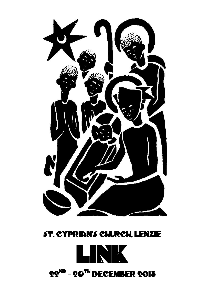# LINK 22nd – 29th December 2013

# St. Cyprian's Church, Lenzie

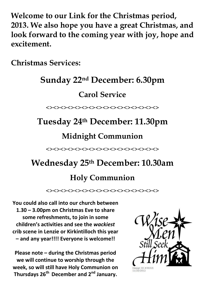**Welcome to our Link for the Christmas period, 2013. We also hope you have a great Christmas, and look forward to the coming year with joy, hope and excitement.**

**Christmas Services:**

# **Sunday 22nd December: 6.30pm**

# **Carol Service**

 $\leftrightarrow$ 

# **Tuesday 24th December: 11.30pm**

# **Midnight Communion**

 $\leftrightarrow$ 

# **Wednesday 25th December: 10.30am**

# **Holy Communion**

 $\circ$ 

**You could also call into our church between 1.30 – 3.00pm on Christmas Eve to share some refreshments, to join in some children's activities and see the** *wackiest* **crib scene in Lenzie or Kirkintilloch this year – and any year!!!! Everyone is welcome!!**

**Please note – during the Christmas period we will continue to worship through the week, so will still have Holy Communion on Thursdays 26th December and 2nd January.**

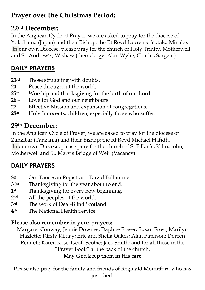# **Prayer over the Christmas Period:**

## **22nd December:**

In the Anglican Cycle of Prayer, we are asked to pray for the diocese of Yokohama (Japan) and their Bishop: the Rt Revd Laurence Yutaka Minabe. In our own Diocese, please pray for the church of Holy Trinity, Motherwell and St. Andrew's, Wishaw (their clergy: Alan Wylie, Charles Sargent).

# **DAILY PRAYERS**

- **23rd** Those struggling with doubts.
- **24th** Peace throughout the world.
- **25th**  Worship and thanksgiving for the birth of our Lord.
- **26th** Love for God and our neighbours.
- **27th** Effective Mission and expansion of congregations.
- **28st** Holy Innocents: children, especially those who suffer.

## **29th December:**

In the Anglican Cycle of Prayer, we are asked to pray for the diocese of Zanzibar (Tanzania) and their Bishop: the Rt Revd Michael Hafidh. In our own Diocese, please pray for the church of St Fillan's, Kilmacolm, Motherwell and St. Mary's Bridge of Weir (Vacancy).

# **DAILY PRAYERS**

- **30th** Our Diocesan Registrar David Ballantine.
- **31st** Thanksgiving for the year about to end.
- **1st**  Thanksgiving for every new beginning.
- **2nd** All the peoples of the world.
- **3rd** The work of Deaf-Blind Scotland.
- **4th** The National Health Service.

#### **Please also remember in your prayers:**

Margaret Conway; Jennie Downes; Daphne Fraser; Susan Frost; Marilyn Hazlette; Kirsty Kilday; Eric and Sheila Oakes; Alan Paterson; Doreen Rendell; Karen Rose; Geoff Scobie; Jack Smith; and for all those in the "Prayer Book" at the back of the church. **May God keep them in His care**

Please also pray for the family and friends of Reginald Mountford who has just died.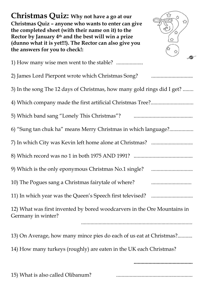**Christmas Quiz: Why not have a go at our Christmas Quiz – anyone who wants to enter can give the completed sheet (with their name on it) to the Rector by January 4th and the best will win a prize (dunno what it is yet!!!). The Rector can also give you the answers for you to check!:**



| 2) James Lord Pierpont wrote which Christmas Song?                                                                   |
|----------------------------------------------------------------------------------------------------------------------|
| 3) In the song The 12 days of Christmas, how many gold rings did I get?                                              |
|                                                                                                                      |
|                                                                                                                      |
| 6) "Sung tan chuk ha" means Merry Christmas in which language?                                                       |
|                                                                                                                      |
|                                                                                                                      |
|                                                                                                                      |
| 10) The Pogues sang a Christmas fairytale of where? <b>Fig. 10.13.13.13.13.14.14.14.14.14.14.14.14.14.14.14.14.1</b> |
|                                                                                                                      |
| 12) What was first invented by bored woodcarvers in the Ore Mountains in<br>Germany in winter?                       |
| 13) On Average, how many mince pies do each of us eat at Christmas?                                                  |
| 14) How many turkeys (roughly) are eaten in the UK each Christmas?                                                   |
|                                                                                                                      |

15) What is also called Olibanum? .........................................................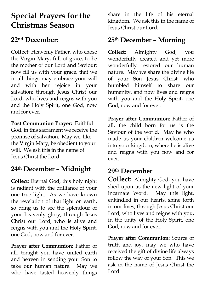# **Special Prayers for the Christmas Season**

#### **22nd December:**

**Collect:** Heavenly Father, who chose the Virgin Mary, full of grace, to be the mother of our Lord and Saviour: now fill us with your grace, that we in all things may embrace your will and with her rejoice in your salvation; through Jesus Christ our Lord, who lives and reigns with you and the Holy Spirit, one God, now and for ever.

**Post Communion Prayer:** Faithful God, in this sacrament we receive the promise of salvation. May we, like the Virgin Mary, be obedient to your will. We ask this in the name of Jesus Christ the Lord.

# **24th December – Midnight**

**Collect**: Eternal God, this holy night is radiant with the brilliance of your one true light. As we have known the revelation of that light on earth, so bring us to see the splendour of your heavenly glory; through Jesus Christ our Lord, who is alive and reigns with you and the Holy Spirit, one God, now and for ever.

Prayer after Communion: Father of all, tonight you have united earth and heaven in sending your Son to take our human nature. May we who have tasted heavenly things share in the life of his eternal kingdom. We ask this in the name of Jesus Christ our Lord.

#### **25th December – Morning**

**Collect**: Almighty God, you wonderfully created and yet more wonderfully restored our human nature. May we share the divine life of your Son Jesus Christ, who humbled himself to share our humanity, and now lives and reigns with you and the Holy Spirit, one God, now and for ever.

**Prayer after Communion**: Father of all, the child born for us is the Saviour of the world. May he who made us your children welcome us into your kingdom, where he is alive and reigns with you now and for ever.

## **29th December**

**Collect:** Almighty God, you have shed upon us the new light of your incarnate Word. May this light, enkindled in our hearts, shine forth in our lives; through Jesus Christ our Lord, who lives and reigns with you, in the unity of the Holy Spirit, one God, now and for ever.

**Prayer after Communion**: Source of truth and joy, may we who have received the gift of divine life always follow the way of your Son. This we ask in the name of Jesus Christ the Lord.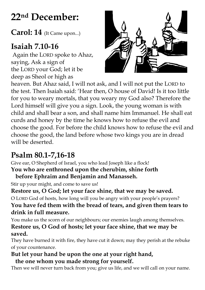# **22nd December:**

**Carol: 14** (It Came upon...)

# **Isaiah 7.10-16**

Again the LORD spoke to Ahaz, saying, Ask a sign of the LORD your God; let it be deep as Sheol or high as



heaven. But Ahaz said, I will not ask, and I will not put the LORD to the test. Then Isaiah said: 'Hear then, O house of David! Is it too little for you to weary mortals, that you weary my God also? Therefore the Lord himself will give you a sign. Look, the young woman is with child and shall bear a son, and shall name him Immanuel. He shall eat curds and honey by the time he knows how to refuse the evil and choose the good. For before the child knows how to refuse the evil and choose the good, the land before whose two kings you are in dread will be deserted.

# **Psalm 80.1-7,16-18**

Give ear, O Shepherd of Israel, you who lead Joseph like a flock! **You who are enthroned upon the cherubim, shine forth**

 **before Ephraim and Benjamin and Manasseh.**

Stir up your might, and come to save us!

**Restore us, O God; let your face shine, that we may be saved.** O LORD God of hosts, how long will you be angry with your people's prayers? **You have fed them with the bread of tears, and given them tears to** 

#### **drink in full measure.**

You make us the scorn of our neighbours; our enemies laugh among themselves.

#### **Restore us, O God of hosts; let your face shine, that we may be saved.**

They have burned it with fire, they have cut it down; may they perish at the rebuke of your countenance.

#### **But let your hand be upon the one at your right hand, the one whom you made strong for yourself.**

Then we will never turn back from you; give us life, and we will call on your name.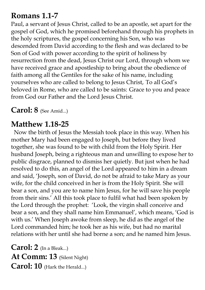# **Romans 1.1-7**

Paul, a servant of Jesus Christ, called to be an apostle, set apart for the gospel of God, which he promised beforehand through his prophets in the holy scriptures, the gospel concerning his Son, who was descended from David according to the flesh and was declared to be Son of God with power according to the spirit of holiness by resurrection from the dead, Jesus Christ our Lord, through whom we have received grace and apostleship to bring about the obedience of faith among all the Gentiles for the sake of his name, including yourselves who are called to belong to Jesus Christ, To all God's beloved in Rome, who are called to be saints: Grace to you and peace from God our Father and the Lord Jesus Christ.

# **Carol: 8** (See Amid...)

# **Matthew 1.18-25**

Now the birth of Jesus the Messiah took place in this way. When his mother Mary had been engaged to Joseph, but before they lived together, she was found to be with child from the Holy Spirit. Her husband Joseph, being a righteous man and unwilling to expose her to public disgrace, planned to dismiss her quietly. But just when he had resolved to do this, an angel of the Lord appeared to him in a dream and said, 'Joseph, son of David, do not be afraid to take Mary as your wife, for the child conceived in her is from the Holy Spirit. She will bear a son, and you are to name him Jesus, for he will save his people from their sins.' All this took place to fulfil what had been spoken by the Lord through the prophet: 'Look, the virgin shall conceive and bear a son, and they shall name him Emmanuel', which means, 'God is with us.' When Joseph awoke from sleep, he did as the angel of the Lord commanded him; he took her as his wife, but had no marital relations with her until she had borne a son; and he named him Jesus.

**Carol: 2** (In a Bleak...) **At Comm: 13** (Silent Night) **Carol: 10** (Hark the Herald...)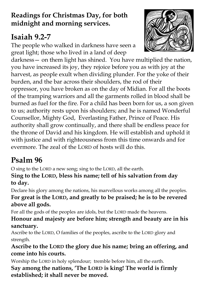# **Readings for Christmas Day, for both midnight and morning services.**

# **Isaiah 9.2-7**

The people who walked in darkness have seen a great light; those who lived in a land of deep



darkness— on them light has shined. You have multiplied the nation, you have increased its joy, they rejoice before you as with joy at the harvest, as people exult when dividing plunder. For the yoke of their burden, and the bar across their shoulders, the rod of their oppressor, you have broken as on the day of Midian. For all the boots of the tramping warriors and all the garments rolled in blood shall be burned as fuel for the fire. For a child has been born for us, a son given to us; authority rests upon his shoulders; and he is named Wonderful Counsellor, Mighty God, Everlasting Father, Prince of Peace. His authority shall grow continually, and there shall be endless peace for the throne of David and his kingdom. He will establish and uphold it with justice and with righteousness from this time onwards and for evermore. The zeal of the LORD of hosts will do this.

# **Psalm 96**

O sing to the LORD a new song; sing to the LORD, all the earth.

**Sing to the LORD, bless his name; tell of his salvation from day to day.**

Declare his glory among the nations, his marvellous works among all the peoples. **For great is the LORD, and greatly to be praised; he is to be revered above all gods.**

For all the gods of the peoples are idols, but the LORD made the heavens.

#### **Honour and majesty are before him; strength and beauty are in his sanctuary.**

Ascribe to the LORD, O families of the peoples, ascribe to the LORD glory and strength.

**Ascribe to the LORD the glory due his name; bring an offering, and come into his courts.**

Worship the LORD in holy splendour; tremble before him, all the earth. **Say among the nations, 'The LORD is king! The world is firmly established; it shall never be moved.**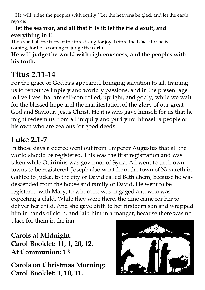He will judge the peoples with equity.' Let the heavens be glad, and let the earth rejoice;

#### **let the sea roar, and all that fills it; let the field exult, and everything in it.**

Then shall all the trees of the forest sing for joy before the LORD; for he is coming, for he is coming to judge the earth.

#### **He will judge the world with righteousness, and the peoples with his truth.**

# **Titus 2.11-14**

For the grace of God has appeared, bringing salvation to all, training us to renounce impiety and worldly passions, and in the present age to live lives that are self-controlled, upright, and godly, while we wait for the blessed hope and the manifestation of the glory of our great God and Saviour, Jesus Christ. He it is who gave himself for us that he might redeem us from all iniquity and purify for himself a people of his own who are zealous for good deeds.

# **Luke 2.1-7**

In those days a decree went out from Emperor Augustus that all the world should be registered. This was the first registration and was taken while Quirinius was governor of Syria. All went to their own towns to be registered. Joseph also went from the town of Nazareth in Galilee to Judea, to the city of David called Bethlehem, because he was descended from the house and family of David. He went to be registered with Mary, to whom he was engaged and who was expecting a child. While they were there, the time came for her to deliver her child. And she gave birth to her firstborn son and wrapped him in bands of cloth, and laid him in a manger, because there was no place for them in the inn.

**Carols at Midnight: Carol Booklet: 11, 1, 20, 12. At Communion: 13**

**Carols on Christmas Morning: Carol Booklet: 1, 10, 11.**

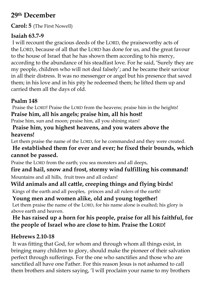## **29th December**

**Carol: 5** (The First Nowell)

#### **Isaiah 63.7-9**

I will recount the gracious deeds of the LORD, the praiseworthy acts of the LORD, because of all that the LORD has done for us, and the great favour to the house of Israel that he has shown them according to his mercy, according to the abundance of his steadfast love. For he said, 'Surely they are my people, children who will not deal falsely'; and he became their saviour in all their distress. It was no messenger or angel but his presence that saved them; in his love and in his pity he redeemed them; he lifted them up and carried them all the days of old.

#### **Psalm 148**

Praise the LORD! Praise the LORD from the heavens; praise him in the heights! **Praise him, all his angels; praise him, all his host!**

Praise him, sun and moon; praise him, all you shining stars!

#### **Praise him, you highest heavens, and you waters above the heavens!**

Let them praise the name of the LORD, for he commanded and they were created.

#### **He established them for ever and ever; he fixed their bounds, which cannot be passed.**

Praise the LORD from the earth; you sea monsters and all deeps,

**fire and hail, snow and frost, stormy wind fulfilling his command!** Mountains and all hills, fruit trees and all cedars!

## **Wild animals and all cattle, creeping things and flying birds!**

Kings of the earth and all peoples, princes and all rulers of the earth!

#### **Young men and women alike, old and young together!**

Let them praise the name of the LORD, for his name alone is exalted; his glory is above earth and heaven.

#### **He has raised up a horn for his people, praise for all his faithful, for the people of Israel who are close to him. Praise the LORD!**

#### **Hebrews 2.10-18**

It was fitting that God, for whom and through whom all things exist, in bringing many children to glory, should make the pioneer of their salvation perfect through sufferings. For the one who sanctifies and those who are sanctified all have one Father. For this reason Jesus is not ashamed to call them brothers and sisters saying, 'I will proclaim your name to my brothers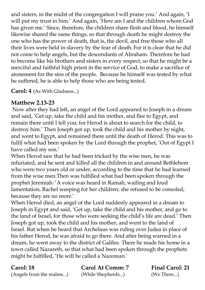and sisters, in the midst of the congregation I will praise you.' And again, 'I will put my trust in him.' And again, 'Here am I and the children whom God has given me.' Since, therefore, the children share flesh and blood, he himself likewise shared the same things, so that through death he might destroy the one who has the power of death, that is, the devil, and free those who all their lives were held in slavery by the fear of death. For it is clear that he did not come to help angels, but the descendants of Abraham. Therefore he had to become like his brothers and sisters in every respect, so that he might be a merciful and faithful high priest in the service of God, to make a sacrifice of atonement for the sins of the people. Because he himself was tested by what he suffered, he is able to help those who are being tested.

#### **Carol: 4** (As With Gladness...)

#### **Matthew 2.13-23**

Now after they had left, an angel of the Lord appeared to Joseph in a dream and said, 'Get up, take the child and his mother, and flee to Egypt, and remain there until I tell you; for Herod is about to search for the child, to destroy him.' Then Joseph got up, took the child and his mother by night, and went to Egypt, and remained there until the death of Herod. This was to fulfil what had been spoken by the Lord through the prophet, 'Out of Egypt I have called my son.'

When Herod saw that he had been tricked by the wise men, he was infuriated, and he sent and killed all the children in and around Bethlehem who were two years old or under, according to the time that he had learned from the wise men.Then was fulfilled what had been spoken through the prophet Jeremiah: 'A voice was heard in Ramah, wailing and loud lamentation, Rachel weeping for her children; she refused to be consoled, because they are no more.'

When Herod died, an angel of the Lord suddenly appeared in a dream to Joseph in Egypt and said, 'Get up, take the child and his mother, and go to the land of Israel, for those who were seeking the child's life are dead.' Then Joseph got up, took the child and his mother, and went to the land of Israel. But when he heard that Archelaus was ruling over Judea in place of his father Herod, he was afraid to go there. And after being warned in a dream, he went away to the district of Galilee. There he made his home in a town called Nazareth, so that what had been spoken through the prophets might be fulfilled, 'He will be called a Nazorean.'

(Angels from the realms...) (While Shepherds...) (We Three...)

**Carol: 18 Carol At Comm: 7 Final Carol: 21**